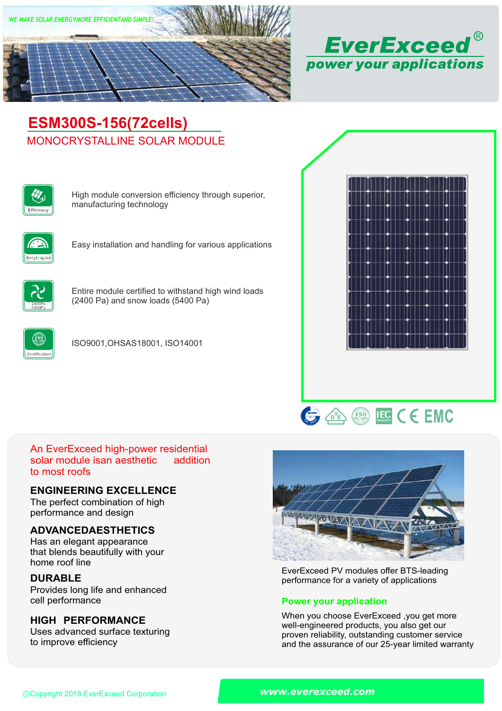



# MONOCRYSTALLINE SOLAR MODULE **ESM300S-156(72cells)**



High module conversion efficiency through superior, manufacturing technology



Easy installation and handling for various applications



Entire module certified to withstand high wind loads (2400 Pa) and snow loads (5400 Pa)



ISO9001,OHSAS18001, ISO14001





#### An EverExceed high-power residential solar module isan aesthetic to most roofs addition

### **ENGINEERING EXCELLENCE**

The perfect combination of high performance and design

### **ADVANCEDAESTHETICS**

Has an elegant appearance that blends beautifully with your home roof line

## **DURABLE**

Provides long life and enhanced<br>cell performance

## **HIGH PERFORMANCE**

Uses advanced surface texturing to improve efficiency



EverExceed PV modules offer BTS-leading performance for a variety of applications

### **Power your application**

When you choose EverExceed ,you get more well-engineered products, you also get our proven reliability, outstanding customer service and the assurance of our 25-year limited warranty